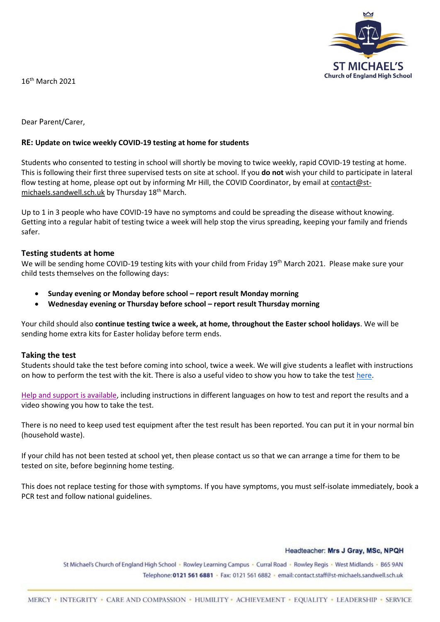

16 th March 2021

Dear Parent/Carer,

# **RE: Update on twice weekly COVID-19 testing at home for students**

Students who consented to testing in school will shortly be moving to twice weekly, rapid COVID-19 testing at home. This is following their first three supervised tests on site at school. If you **do not** wish your child to participate in lateral flow testing at home, please opt out by informing Mr Hill, the COVID Coordinator, by email at [contact@st](mailto:contact@st-michaels.sandwell.sch.uk)[michaels.sandwell.sch.uk](mailto:contact@st-michaels.sandwell.sch.uk) by Thursday 18<sup>th</sup> March.

Up to 1 in 3 people who have COVID-19 have no symptoms and could be spreading the disease without knowing. Getting into a regular habit of testing twice a week will help stop the virus spreading, keeping your family and friends safer.

## **Testing students at home**

We will be sending home COVID-19 testing kits with your child from Friday 19<sup>th</sup> March 2021. Please make sure your child tests themselves on the following days:

- **Sunday evening or Monday before school – report result Monday morning**
- **Wednesday evening or Thursday before school – report result Thursday morning**

Your child should also **continue testing twice a week, at home, throughout the Easter school holidays**. We will be sending home extra kits for Easter holiday before term ends.

## **Taking the test**

Students should take the test before coming into school, twice a week. We will give students a leaflet with instructions on how to perform the test with the kit. There is also a useful video to show you how to take the test [here.](https://www.youtube.com/watch?v=S9XR8RZxKNo&list=PLvaBZskxS7tzQYlVg7lwH5uxAD9UrSzGJ&index=1)

[Help and support is available,](https://www.gov.uk/guidance/covid-19-self-test-help) including instructions in different languages on how to test and report the results and a video showing you how to take the test.

There is no need to keep used test equipment after the test result has been reported. You can put it in your normal bin (household waste).

If your child has not been tested at school yet, then please contact us so that we can arrange a time for them to be tested on site, before beginning home testing.

This does not replace testing for those with symptoms. If you have symptoms, you must self-isolate immediately, book a PCR test and follow national guidelines.

#### Headteacher: Mrs J Gray, MSc, NPQH

St Michael's Church of England High School · Rowley Learning Campus · Curral Road · Rowley Regis · West Midlands · B65 9AN Telephone: 0121 561 6881 - Fax: 0121 561 6882 - email: contact.staff@st-michaels.sandwell.sch.uk